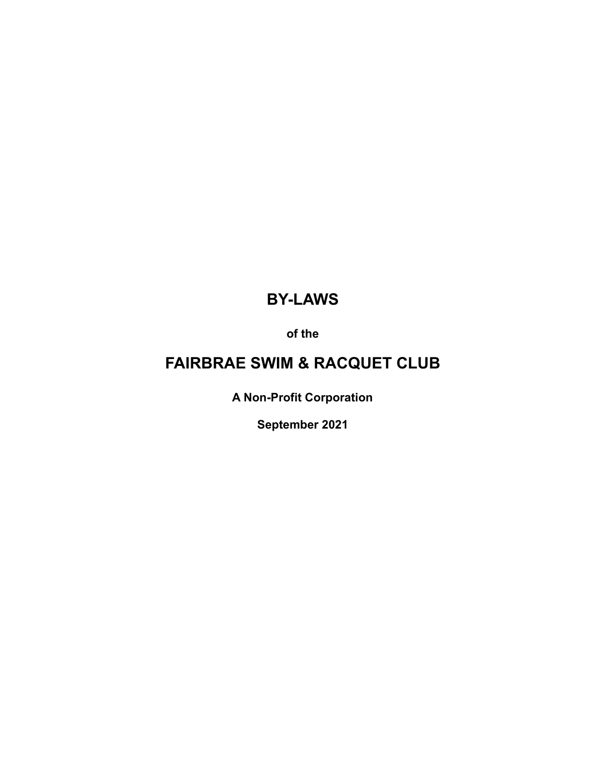# **BY-LAWS**

**of the**

# **FAIRBRAE SWIM & RACQUET CLUB**

**A Non-Profit Corporation**

**September 2021**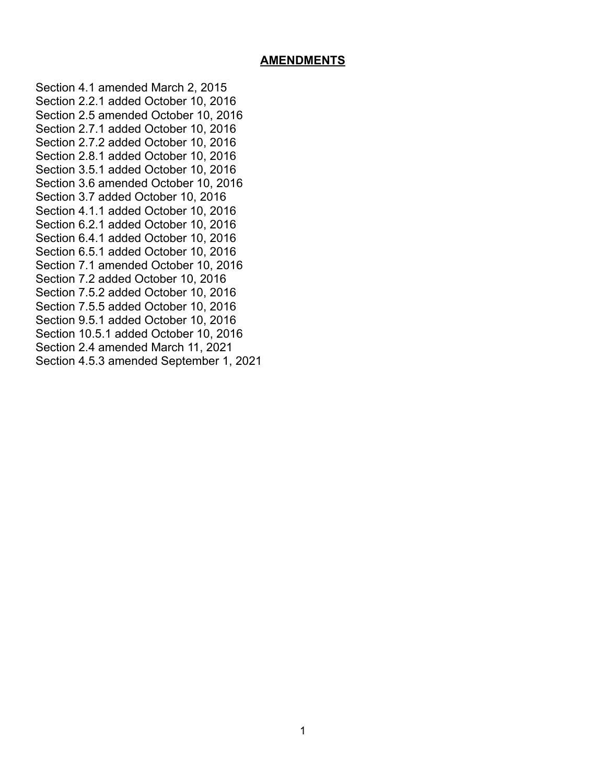#### **AMENDMENTS**

Section 4.1 amended March 2, 2015 Section 2.2.1 added October 10, 2016 Section 2.5 amended October 10, 2016 Section 2.7.1 added October 10, 2016 Section 2.7.2 added October 10, 2016 Section 2.8.1 added October 10, 2016 Section 3.5.1 added October 10, 2016 Section 3.6 amended October 10, 2016 Section 3.7 added October 10, 2016 Section 4.1.1 added October 10, 2016 Section 6.2.1 added October 10, 2016 Section 6.4.1 added October 10, 2016 Section 6.5.1 added October 10, 2016 Section 7.1 amended October 10, 2016 Section 7.2 added October 10, 2016 Section 7.5.2 added October 10, 2016 Section 7.5.5 added October 10, 2016 Section 9.5.1 added October 10, 2016 Section 10.5.1 added October 10, 2016 Section 2.4 amended March 11, 2021 Section 4.5.3 amended September 1, 2021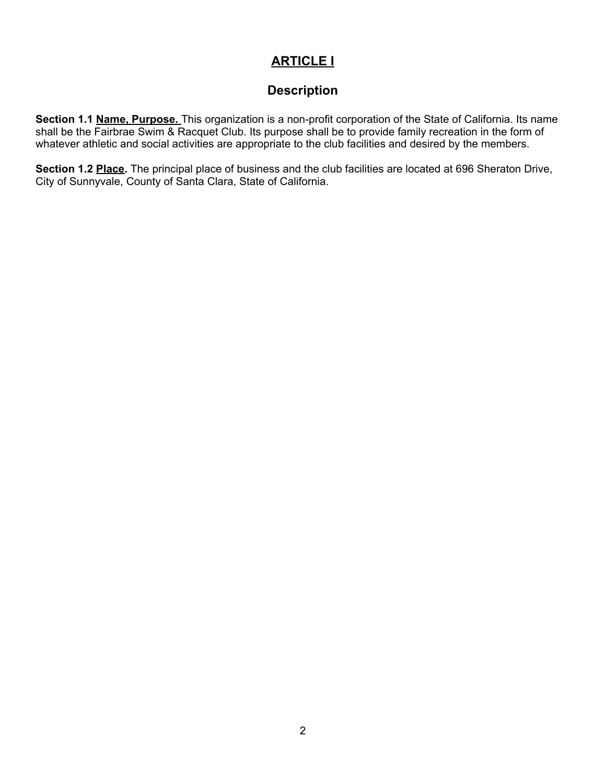# **ARTICLE I**

## **Description**

**Section 1.1 Name, Purpose.** This organization is a non-profit corporation of the State of California. Its name shall be the Fairbrae Swim & Racquet Club. Its purpose shall be to provide family recreation in the form of whatever athletic and social activities are appropriate to the club facilities and desired by the members.

**Section 1.2 Place.** The principal place of business and the club facilities are located at 696 Sheraton Drive, City of Sunnyvale, County of Santa Clara, State of California.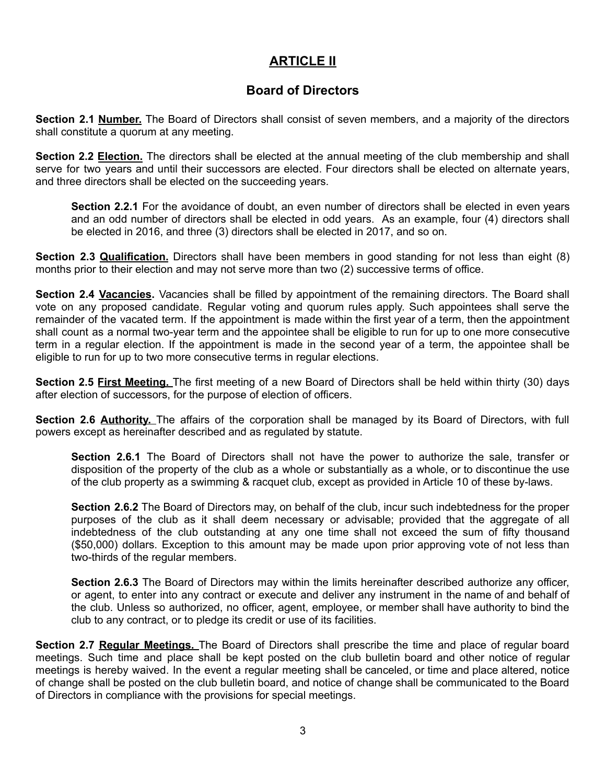## **ARTICLE II**

## **Board of Directors**

**Section 2.1 Number.** The Board of Directors shall consist of seven members, and a majority of the directors shall constitute a quorum at any meeting.

**Section 2.2 Election.** The directors shall be elected at the annual meeting of the club membership and shall serve for two years and until their successors are elected. Four directors shall be elected on alternate years, and three directors shall be elected on the succeeding years.

**Section 2.2.1** For the avoidance of doubt, an even number of directors shall be elected in even years and an odd number of directors shall be elected in odd years. As an example, four (4) directors shall be elected in 2016, and three (3) directors shall be elected in 2017, and so on.

**Section 2.3 Qualification.** Directors shall have been members in good standing for not less than eight (8) months prior to their election and may not serve more than two (2) successive terms of office.

**Section 2.4 Vacancies.** Vacancies shall be filled by appointment of the remaining directors. The Board shall vote on any proposed candidate. Regular voting and quorum rules apply. Such appointees shall serve the remainder of the vacated term. If the appointment is made within the first year of a term, then the appointment shall count as a normal two-year term and the appointee shall be eligible to run for up to one more consecutive term in a regular election. If the appointment is made in the second year of a term, the appointee shall be eligible to run for up to two more consecutive terms in regular elections.

**Section 2.5 First Meeting.** The first meeting of a new Board of Directors shall be held within thirty (30) days after election of successors, for the purpose of election of officers.

**Section 2.6 Authority.** The affairs of the corporation shall be managed by its Board of Directors, with full powers except as hereinafter described and as regulated by statute.

**Section 2.6.1** The Board of Directors shall not have the power to authorize the sale, transfer or disposition of the property of the club as a whole or substantially as a whole, or to discontinue the use of the club property as a swimming & racquet club, except as provided in Article 10 of these by-laws.

**Section 2.6.2** The Board of Directors may, on behalf of the club, incur such indebtedness for the proper purposes of the club as it shall deem necessary or advisable; provided that the aggregate of all indebtedness of the club outstanding at any one time shall not exceed the sum of fifty thousand (\$50,000) dollars. Exception to this amount may be made upon prior approving vote of not less than two-thirds of the regular members.

**Section 2.6.3** The Board of Directors may within the limits hereinafter described authorize any officer, or agent, to enter into any contract or execute and deliver any instrument in the name of and behalf of the club. Unless so authorized, no officer, agent, employee, or member shall have authority to bind the club to any contract, or to pledge its credit or use of its facilities.

**Section 2.7 Regular Meetings.** The Board of Directors shall prescribe the time and place of regular board meetings. Such time and place shall be kept posted on the club bulletin board and other notice of regular meetings is hereby waived. In the event a regular meeting shall be canceled, or time and place altered, notice of change shall be posted on the club bulletin board, and notice of change shall be communicated to the Board of Directors in compliance with the provisions for special meetings.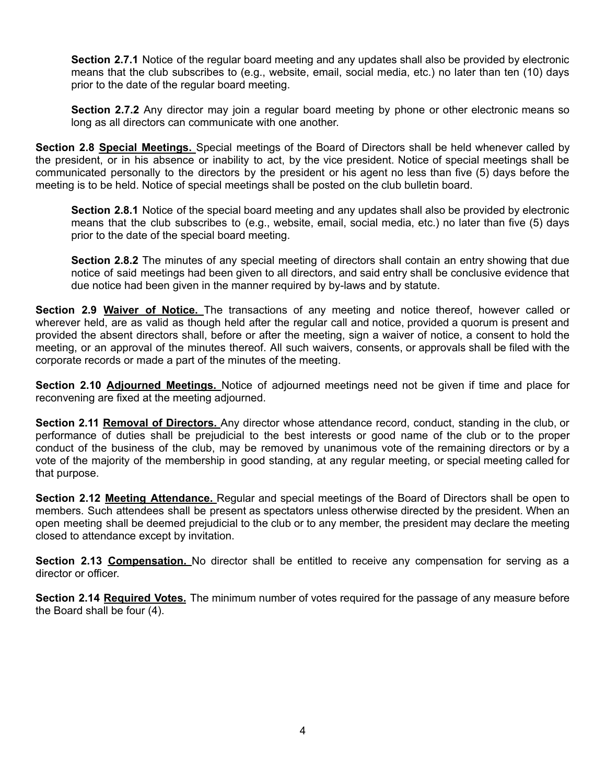**Section 2.7.1** Notice of the regular board meeting and any updates shall also be provided by electronic means that the club subscribes to (e.g., website, email, social media, etc.) no later than ten (10) days prior to the date of the regular board meeting.

**Section 2.7.2** Any director may join a regular board meeting by phone or other electronic means so long as all directors can communicate with one another.

**Section 2.8 Special Meetings.** Special meetings of the Board of Directors shall be held whenever called by the president, or in his absence or inability to act, by the vice president. Notice of special meetings shall be communicated personally to the directors by the president or his agent no less than five (5) days before the meeting is to be held. Notice of special meetings shall be posted on the club bulletin board.

**Section 2.8.1** Notice of the special board meeting and any updates shall also be provided by electronic means that the club subscribes to (e.g., website, email, social media, etc.) no later than five (5) days prior to the date of the special board meeting.

**Section 2.8.2** The minutes of any special meeting of directors shall contain an entry showing that due notice of said meetings had been given to all directors, and said entry shall be conclusive evidence that due notice had been given in the manner required by by-laws and by statute.

**Section 2.9 Waiver of Notice.** The transactions of any meeting and notice thereof, however called or wherever held, are as valid as though held after the regular call and notice, provided a quorum is present and provided the absent directors shall, before or after the meeting, sign a waiver of notice, a consent to hold the meeting, or an approval of the minutes thereof. All such waivers, consents, or approvals shall be filed with the corporate records or made a part of the minutes of the meeting.

**Section 2.10 Adjourned Meetings.** Notice of adjourned meetings need not be given if time and place for reconvening are fixed at the meeting adjourned.

**Section 2.11 Removal of Directors.** Any director whose attendance record, conduct, standing in the club, or performance of duties shall be prejudicial to the best interests or good name of the club or to the proper conduct of the business of the club, may be removed by unanimous vote of the remaining directors or by a vote of the majority of the membership in good standing, at any regular meeting, or special meeting called for that purpose.

**Section 2.12 Meeting Attendance.** Regular and special meetings of the Board of Directors shall be open to members. Such attendees shall be present as spectators unless otherwise directed by the president. When an open meeting shall be deemed prejudicial to the club or to any member, the president may declare the meeting closed to attendance except by invitation.

**Section 2.13 Compensation.** No director shall be entitled to receive any compensation for serving as a director or officer.

**Section 2.14 Required Votes.** The minimum number of votes required for the passage of any measure before the Board shall be four (4).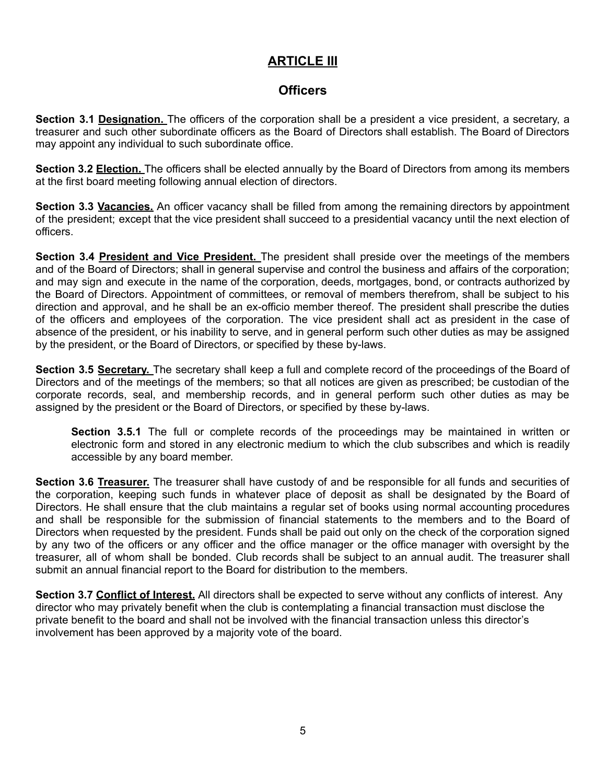# **ARTICLE III**

## **Officers**

**Section 3.1 Designation.** The officers of the corporation shall be a president a vice president, a secretary, a treasurer and such other subordinate officers as the Board of Directors shall establish. The Board of Directors may appoint any individual to such subordinate office.

**Section 3.2 Election.** The officers shall be elected annually by the Board of Directors from among its members at the first board meeting following annual election of directors.

**Section 3.3 Vacancies.** An officer vacancy shall be filled from among the remaining directors by appointment of the president; except that the vice president shall succeed to a presidential vacancy until the next election of officers.

**Section 3.4 President and Vice President.** The president shall preside over the meetings of the members and of the Board of Directors; shall in general supervise and control the business and affairs of the corporation; and may sign and execute in the name of the corporation, deeds, mortgages, bond, or contracts authorized by the Board of Directors. Appointment of committees, or removal of members therefrom, shall be subject to his direction and approval, and he shall be an ex-officio member thereof. The president shall prescribe the duties of the officers and employees of the corporation. The vice president shall act as president in the case of absence of the president, or his inability to serve, and in general perform such other duties as may be assigned by the president, or the Board of Directors, or specified by these by-laws.

**Section 3.5 Secretary.** The secretary shall keep a full and complete record of the proceedings of the Board of Directors and of the meetings of the members; so that all notices are given as prescribed; be custodian of the corporate records, seal, and membership records, and in general perform such other duties as may be assigned by the president or the Board of Directors, or specified by these by-laws.

**Section 3.5.1** The full or complete records of the proceedings may be maintained in written or electronic form and stored in any electronic medium to which the club subscribes and which is readily accessible by any board member.

**Section 3.6 Treasurer.** The treasurer shall have custody of and be responsible for all funds and securities of the corporation, keeping such funds in whatever place of deposit as shall be designated by the Board of Directors. He shall ensure that the club maintains a regular set of books using normal accounting procedures and shall be responsible for the submission of financial statements to the members and to the Board of Directors when requested by the president. Funds shall be paid out only on the check of the corporation signed by any two of the officers or any officer and the office manager or the office manager with oversight by the treasurer, all of whom shall be bonded. Club records shall be subject to an annual audit. The treasurer shall submit an annual financial report to the Board for distribution to the members.

**Section 3.7 Conflict of Interest.** All directors shall be expected to serve without any conflicts of interest. Any director who may privately benefit when the club is contemplating a financial transaction must disclose the private benefit to the board and shall not be involved with the financial transaction unless this director's involvement has been approved by a majority vote of the board.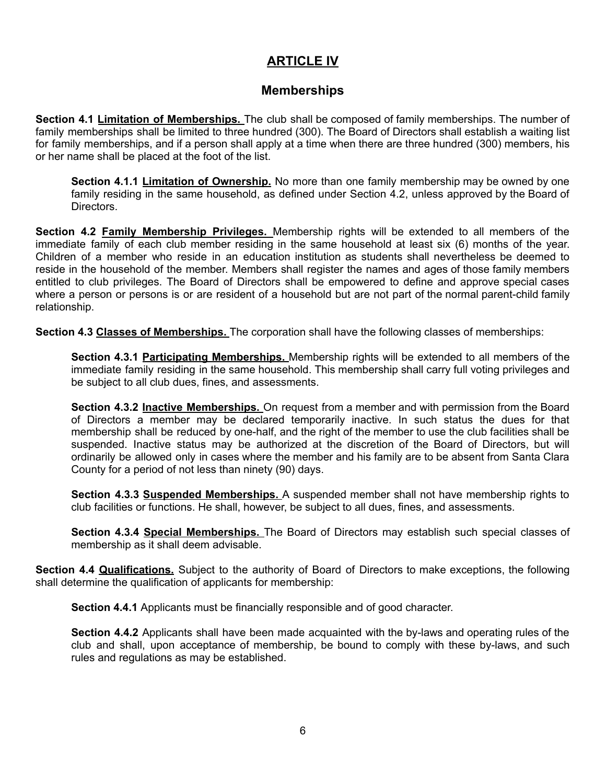# **ARTICLE IV**

## **Memberships**

**Section 4.1 Limitation of Memberships.** The club shall be composed of family memberships. The number of family memberships shall be limited to three hundred (300). The Board of Directors shall establish a waiting list for family memberships, and if a person shall apply at a time when there are three hundred (300) members, his or her name shall be placed at the foot of the list.

**Section 4.1.1 Limitation of Ownership.** No more than one family membership may be owned by one family residing in the same household, as defined under Section 4.2, unless approved by the Board of Directors.

**Section 4.2 Family Membership Privileges.** Membership rights will be extended to all members of the immediate family of each club member residing in the same household at least six (6) months of the year. Children of a member who reside in an education institution as students shall nevertheless be deemed to reside in the household of the member. Members shall register the names and ages of those family members entitled to club privileges. The Board of Directors shall be empowered to define and approve special cases where a person or persons is or are resident of a household but are not part of the normal parent-child family relationship.

**Section 4.3 Classes of Memberships.** The corporation shall have the following classes of memberships:

**Section 4.3.1 Participating Memberships.** Membership rights will be extended to all members of the immediate family residing in the same household. This membership shall carry full voting privileges and be subject to all club dues, fines, and assessments.

**Section 4.3.2 Inactive Memberships.** On request from a member and with permission from the Board of Directors a member may be declared temporarily inactive. In such status the dues for that membership shall be reduced by one-half, and the right of the member to use the club facilities shall be suspended. Inactive status may be authorized at the discretion of the Board of Directors, but will ordinarily be allowed only in cases where the member and his family are to be absent from Santa Clara County for a period of not less than ninety (90) days.

**Section 4.3.3 Suspended Memberships.** A suspended member shall not have membership rights to club facilities or functions. He shall, however, be subject to all dues, fines, and assessments.

**Section 4.3.4 Special Memberships.** The Board of Directors may establish such special classes of membership as it shall deem advisable.

**Section 4.4 Qualifications.** Subject to the authority of Board of Directors to make exceptions, the following shall determine the qualification of applicants for membership:

**Section 4.4.1** Applicants must be financially responsible and of good character.

**Section 4.4.2** Applicants shall have been made acquainted with the by-laws and operating rules of the club and shall, upon acceptance of membership, be bound to comply with these by-laws, and such rules and regulations as may be established.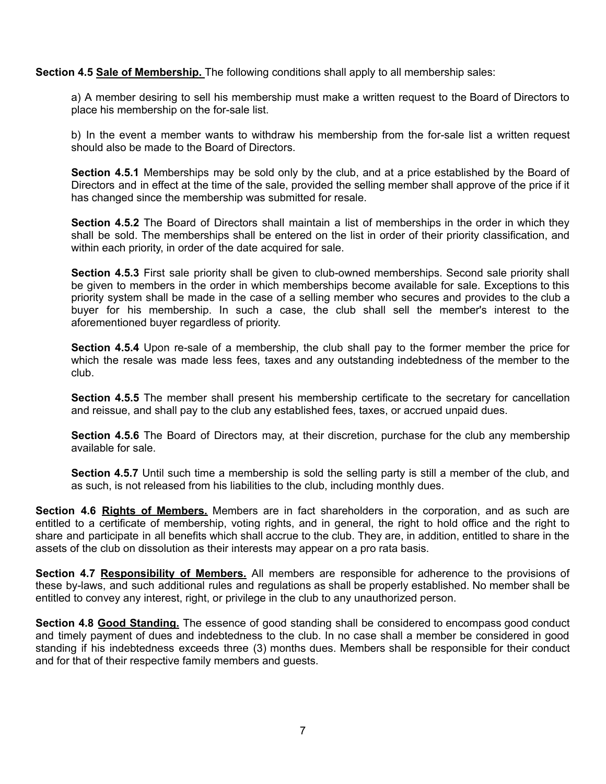**Section 4.5 Sale of Membership.** The following conditions shall apply to all membership sales:

a) A member desiring to sell his membership must make a written request to the Board of Directors to place his membership on the for-sale list.

b) In the event a member wants to withdraw his membership from the for-sale list a written request should also be made to the Board of Directors.

**Section 4.5.1** Memberships may be sold only by the club, and at a price established by the Board of Directors and in effect at the time of the sale, provided the selling member shall approve of the price if it has changed since the membership was submitted for resale.

**Section 4.5.2** The Board of Directors shall maintain a list of memberships in the order in which they shall be sold. The memberships shall be entered on the list in order of their priority classification, and within each priority, in order of the date acquired for sale.

**Section 4.5.3** First sale priority shall be given to club-owned memberships. Second sale priority shall be given to members in the order in which memberships become available for sale. Exceptions to this priority system shall be made in the case of a selling member who secures and provides to the club a buyer for his membership. In such a case, the club shall sell the member's interest to the aforementioned buyer regardless of priority.

**Section 4.5.4** Upon re-sale of a membership, the club shall pay to the former member the price for which the resale was made less fees, taxes and any outstanding indebtedness of the member to the club.

**Section 4.5.5** The member shall present his membership certificate to the secretary for cancellation and reissue, and shall pay to the club any established fees, taxes, or accrued unpaid dues.

**Section 4.5.6** The Board of Directors may, at their discretion, purchase for the club any membership available for sale.

**Section 4.5.7** Until such time a membership is sold the selling party is still a member of the club, and as such, is not released from his liabilities to the club, including monthly dues.

**Section 4.6 Rights of Members.** Members are in fact shareholders in the corporation, and as such are entitled to a certificate of membership, voting rights, and in general, the right to hold office and the right to share and participate in all benefits which shall accrue to the club. They are, in addition, entitled to share in the assets of the club on dissolution as their interests may appear on a pro rata basis.

**Section 4.7 Responsibility of Members.** All members are responsible for adherence to the provisions of these by-laws, and such additional rules and regulations as shall be properly established. No member shall be entitled to convey any interest, right, or privilege in the club to any unauthorized person.

**Section 4.8 Good Standing.** The essence of good standing shall be considered to encompass good conduct and timely payment of dues and indebtedness to the club. In no case shall a member be considered in good standing if his indebtedness exceeds three (3) months dues. Members shall be responsible for their conduct and for that of their respective family members and guests.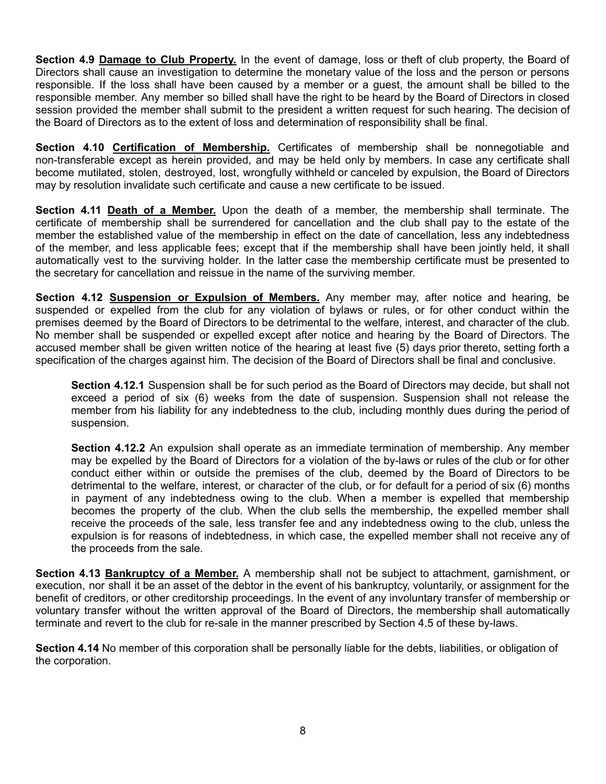**Section 4.9 Damage to Club Property.** In the event of damage, loss or theft of club property, the Board of Directors shall cause an investigation to determine the monetary value of the loss and the person or persons responsible. If the loss shall have been caused by a member or a guest, the amount shall be billed to the responsible member. Any member so billed shall have the right to be heard by the Board of Directors in closed session provided the member shall submit to the president a written request for such hearing. The decision of the Board of Directors as to the extent of loss and determination of responsibility shall be final.

**Section 4.10 Certification of Membership.** Certificates of membership shall be nonnegotiable and non-transferable except as herein provided, and may be held only by members. In case any certificate shall become mutilated, stolen, destroyed, lost, wrongfully withheld or canceled by expulsion, the Board of Directors may by resolution invalidate such certificate and cause a new certificate to be issued.

**Section 4.11 Death of a Member.** Upon the death of a member, the membership shall terminate. The certificate of membership shall be surrendered for cancellation and the club shall pay to the estate of the member the established value of the membership in effect on the date of cancellation, less any indebtedness of the member, and less applicable fees; except that if the membership shall have been jointly held, it shall automatically vest to the surviving holder. In the latter case the membership certificate must be presented to the secretary for cancellation and reissue in the name of the surviving member.

**Section 4.12 Suspension or Expulsion of Members.** Any member may, after notice and hearing, be suspended or expelled from the club for any violation of bylaws or rules, or for other conduct within the premises deemed by the Board of Directors to be detrimental to the welfare, interest, and character of the club. No member shall be suspended or expelled except after notice and hearing by the Board of Directors. The accused member shall be given written notice of the hearing at least five (5) days prior thereto, setting forth a specification of the charges against him. The decision of the Board of Directors shall be final and conclusive.

**Section 4.12.1** Suspension shall be for such period as the Board of Directors may decide, but shall not exceed a period of six (6) weeks from the date of suspension. Suspension shall not release the member from his liability for any indebtedness to the club, including monthly dues during the period of suspension.

**Section 4.12.2** An expulsion shall operate as an immediate termination of membership. Any member may be expelled by the Board of Directors for a violation of the by-laws or rules of the club or for other conduct either within or outside the premises of the club, deemed by the Board of Directors to be detrimental to the welfare, interest, or character of the club, or for default for a period of six (6) months in payment of any indebtedness owing to the club. When a member is expelled that membership becomes the property of the club. When the club sells the membership, the expelled member shall receive the proceeds of the sale, less transfer fee and any indebtedness owing to the club, unless the expulsion is for reasons of indebtedness, in which case, the expelled member shall not receive any of the proceeds from the sale.

**Section 4.13 Bankruptcy of a Member.** A membership shall not be subject to attachment, garnishment, or execution, nor shall it be an asset of the debtor in the event of his bankruptcy, voluntarily, or assignment for the benefit of creditors, or other creditorship proceedings. In the event of any involuntary transfer of membership or voluntary transfer without the written approval of the Board of Directors, the membership shall automatically terminate and revert to the club for re-sale in the manner prescribed by Section 4.5 of these by-laws.

**Section 4.14** No member of this corporation shall be personally liable for the debts, liabilities, or obligation of the corporation.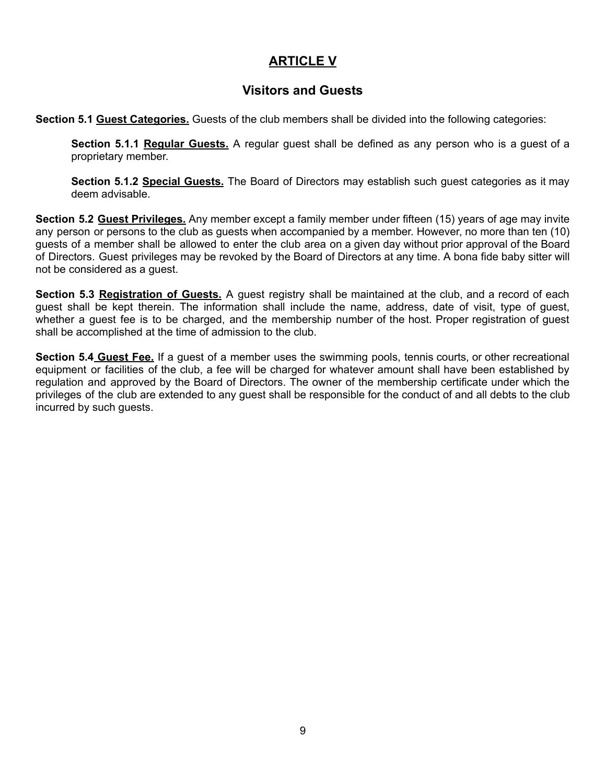# **ARTICLE V**

## **Visitors and Guests**

**Section 5.1 Guest Categories.** Guests of the club members shall be divided into the following categories:

**Section 5.1.1 Regular Guests.** A regular guest shall be defined as any person who is a guest of a proprietary member.

**Section 5.1.2 Special Guests.** The Board of Directors may establish such guest categories as it may deem advisable.

**Section 5.2 Guest Privileges.** Any member except a family member under fifteen (15) years of age may invite any person or persons to the club as guests when accompanied by a member. However, no more than ten (10) guests of a member shall be allowed to enter the club area on a given day without prior approval of the Board of Directors. Guest privileges may be revoked by the Board of Directors at any time. A bona fide baby sitter will not be considered as a guest.

**Section 5.3 Registration of Guests.** A guest registry shall be maintained at the club, and a record of each guest shall be kept therein. The information shall include the name, address, date of visit, type of guest, whether a guest fee is to be charged, and the membership number of the host. Proper registration of guest shall be accomplished at the time of admission to the club.

**Section 5.4 Guest Fee.** If a guest of a member uses the swimming pools, tennis courts, or other recreational equipment or facilities of the club, a fee will be charged for whatever amount shall have been established by regulation and approved by the Board of Directors. The owner of the membership certificate under which the privileges of the club are extended to any guest shall be responsible for the conduct of and all debts to the club incurred by such guests.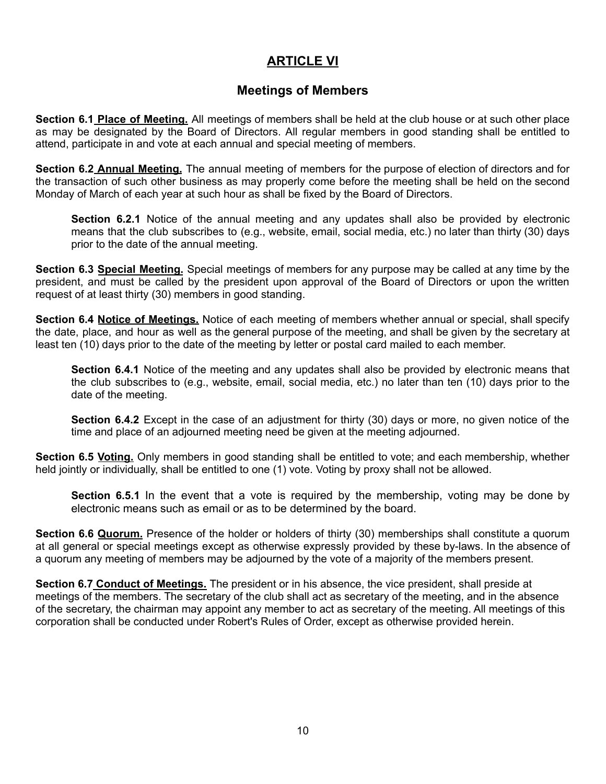## **ARTICLE VI**

#### **Meetings of Members**

**Section 6.1 Place of Meeting.** All meetings of members shall be held at the club house or at such other place as may be designated by the Board of Directors. All regular members in good standing shall be entitled to attend, participate in and vote at each annual and special meeting of members.

**Section 6.2 Annual Meeting.** The annual meeting of members for the purpose of election of directors and for the transaction of such other business as may properly come before the meeting shall be held on the second Monday of March of each year at such hour as shall be fixed by the Board of Directors.

**Section 6.2.1** Notice of the annual meeting and any updates shall also be provided by electronic means that the club subscribes to (e.g., website, email, social media, etc.) no later than thirty (30) days prior to the date of the annual meeting.

**Section 6.3 Special Meeting.** Special meetings of members for any purpose may be called at any time by the president, and must be called by the president upon approval of the Board of Directors or upon the written request of at least thirty (30) members in good standing.

**Section 6.4 Notice of Meetings.** Notice of each meeting of members whether annual or special, shall specify the date, place, and hour as well as the general purpose of the meeting, and shall be given by the secretary at least ten (10) days prior to the date of the meeting by letter or postal card mailed to each member.

**Section 6.4.1** Notice of the meeting and any updates shall also be provided by electronic means that the club subscribes to (e.g., website, email, social media, etc.) no later than ten (10) days prior to the date of the meeting.

**Section 6.4.2** Except in the case of an adjustment for thirty (30) days or more, no given notice of the time and place of an adjourned meeting need be given at the meeting adjourned.

**Section 6.5 Voting.** Only members in good standing shall be entitled to vote; and each membership, whether held jointly or individually, shall be entitled to one (1) vote. Voting by proxy shall not be allowed.

**Section 6.5.1** In the event that a vote is required by the membership, voting may be done by electronic means such as email or as to be determined by the board.

**Section 6.6 Quorum.** Presence of the holder or holders of thirty (30) memberships shall constitute a quorum at all general or special meetings except as otherwise expressly provided by these by-laws. In the absence of a quorum any meeting of members may be adjourned by the vote of a majority of the members present.

**Section 6.7 Conduct of Meetings.** The president or in his absence, the vice president, shall preside at meetings of the members. The secretary of the club shall act as secretary of the meeting, and in the absence of the secretary, the chairman may appoint any member to act as secretary of the meeting. All meetings of this corporation shall be conducted under Robert's Rules of Order, except as otherwise provided herein.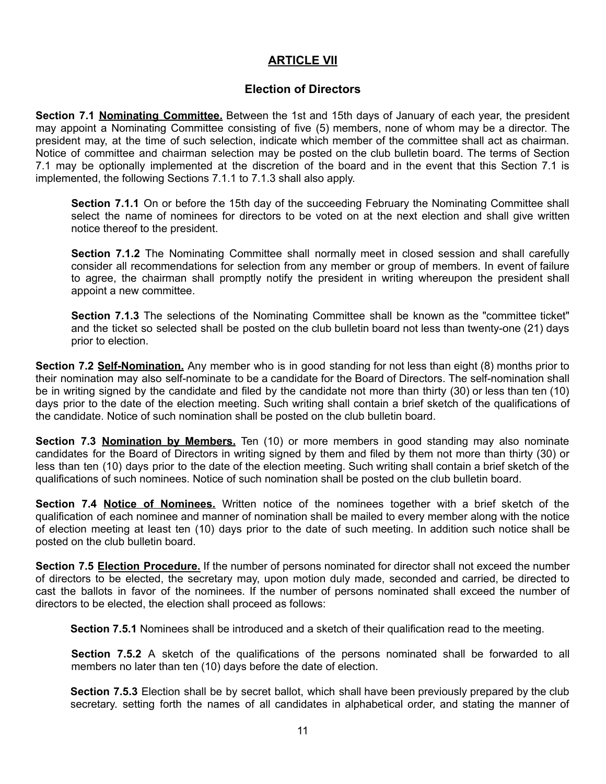#### **ARTICLE VII**

#### **Election of Directors**

**Section 7.1 Nominating Committee.** Between the 1st and 15th days of January of each year, the president may appoint a Nominating Committee consisting of five (5) members, none of whom may be a director. The president may, at the time of such selection, indicate which member of the committee shall act as chairman. Notice of committee and chairman selection may be posted on the club bulletin board. The terms of Section 7.1 may be optionally implemented at the discretion of the board and in the event that this Section 7.1 is implemented, the following Sections 7.1.1 to 7.1.3 shall also apply.

**Section 7.1.1** On or before the 15th day of the succeeding February the Nominating Committee shall select the name of nominees for directors to be voted on at the next election and shall give written notice thereof to the president.

**Section 7.1.2** The Nominating Committee shall normally meet in closed session and shall carefully consider all recommendations for selection from any member or group of members. In event of failure to agree, the chairman shall promptly notify the president in writing whereupon the president shall appoint a new committee.

**Section 7.1.3** The selections of the Nominating Committee shall be known as the "committee ticket" and the ticket so selected shall be posted on the club bulletin board not less than twenty-one (21) days prior to election.

**Section 7.2 Self-Nomination.** Any member who is in good standing for not less than eight (8) months prior to their nomination may also self-nominate to be a candidate for the Board of Directors. The self-nomination shall be in writing signed by the candidate and filed by the candidate not more than thirty (30) or less than ten (10) days prior to the date of the election meeting. Such writing shall contain a brief sketch of the qualifications of the candidate. Notice of such nomination shall be posted on the club bulletin board.

**Section 7.3 Nomination by Members.** Ten (10) or more members in good standing may also nominate candidates for the Board of Directors in writing signed by them and filed by them not more than thirty (30) or less than ten (10) days prior to the date of the election meeting. Such writing shall contain a brief sketch of the qualifications of such nominees. Notice of such nomination shall be posted on the club bulletin board.

**Section 7.4 Notice of Nominees.** Written notice of the nominees together with a brief sketch of the qualification of each nominee and manner of nomination shall be mailed to every member along with the notice of election meeting at least ten (10) days prior to the date of such meeting. In addition such notice shall be posted on the club bulletin board.

**Section 7.5 Election Procedure.** If the number of persons nominated for director shall not exceed the number of directors to be elected, the secretary may, upon motion duly made, seconded and carried, be directed to cast the ballots in favor of the nominees. If the number of persons nominated shall exceed the number of directors to be elected, the election shall proceed as follows:

**Section 7.5.1** Nominees shall be introduced and a sketch of their qualification read to the meeting.

**Section 7.5.2** A sketch of the qualifications of the persons nominated shall be forwarded to all members no later than ten (10) days before the date of election.

**Section 7.5.3** Election shall be by secret ballot, which shall have been previously prepared by the club secretary. setting forth the names of all candidates in alphabetical order, and stating the manner of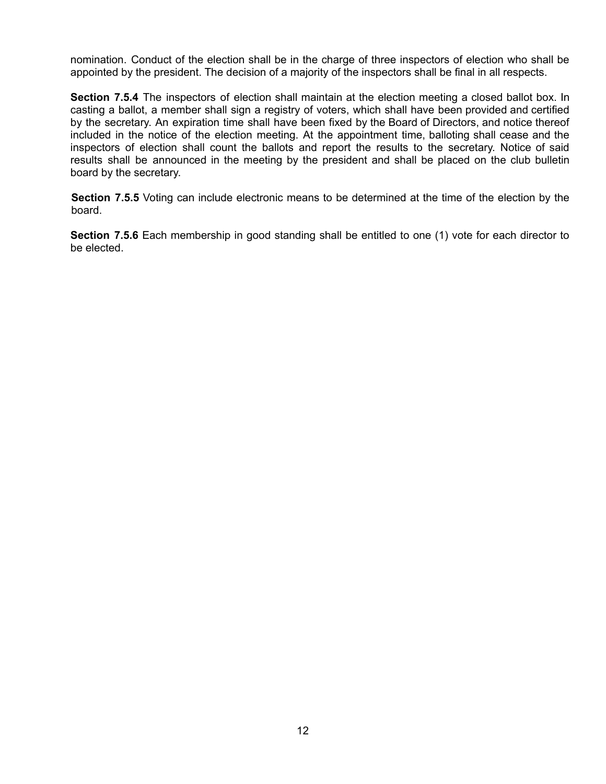nomination. Conduct of the election shall be in the charge of three inspectors of election who shall be appointed by the president. The decision of a majority of the inspectors shall be final in all respects.

**Section 7.5.4** The inspectors of election shall maintain at the election meeting a closed ballot box. In casting a ballot, a member shall sign a registry of voters, which shall have been provided and certified by the secretary. An expiration time shall have been fixed by the Board of Directors, and notice thereof included in the notice of the election meeting. At the appointment time, balloting shall cease and the inspectors of election shall count the ballots and report the results to the secretary. Notice of said results shall be announced in the meeting by the president and shall be placed on the club bulletin board by the secretary.

**Section 7.5.5** Voting can include electronic means to be determined at the time of the election by the board.

**Section 7.5.6** Each membership in good standing shall be entitled to one (1) vote for each director to be elected.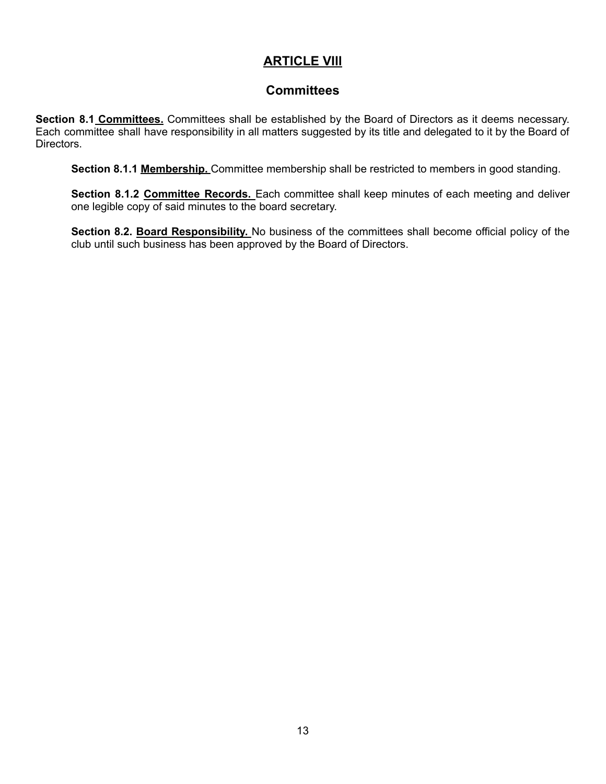# **ARTICLE VIll**

## **Committees**

**Section 8.1 Committees.** Committees shall be established by the Board of Directors as it deems necessary. Each committee shall have responsibility in all matters suggested by its title and delegated to it by the Board of Directors.

**Section 8.1.1 Membership.** Committee membership shall be restricted to members in good standing.

**Section 8.1.2 Committee Records.** Each committee shall keep minutes of each meeting and deliver one legible copy of said minutes to the board secretary.

**Section 8.2. Board Responsibility.** No business of the committees shall become official policy of the club until such business has been approved by the Board of Directors.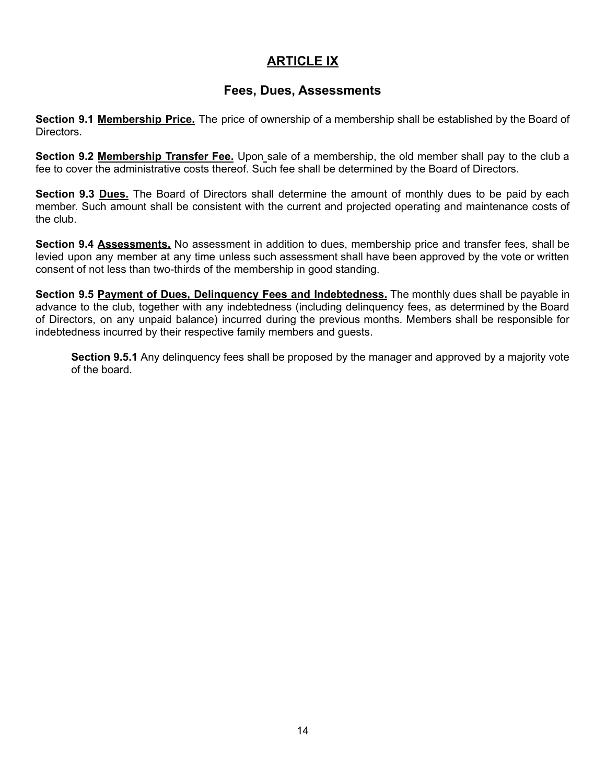## **ARTICLE IX**

## **Fees, Dues, Assessments**

**Section 9.1 Membership Price.** The price of ownership of a membership shall be established by the Board of **Directors** 

**Section 9.2 Membership Transfer Fee.** Upon sale of a membership, the old member shall pay to the club a fee to cover the administrative costs thereof. Such fee shall be determined by the Board of Directors.

**Section 9.3 Dues.** The Board of Directors shall determine the amount of monthly dues to be paid by each member. Such amount shall be consistent with the current and projected operating and maintenance costs of the club.

**Section 9.4 Assessments.** No assessment in addition to dues, membership price and transfer fees, shall be levied upon any member at any time unless such assessment shall have been approved by the vote or written consent of not less than two-thirds of the membership in good standing.

**Section 9.5 Payment of Dues, Delinquency Fees and Indebtedness.** The monthly dues shall be payable in advance to the club, together with any indebtedness (including delinquency fees, as determined by the Board of Directors, on any unpaid balance) incurred during the previous months. Members shall be responsible for indebtedness incurred by their respective family members and guests.

**Section 9.5.1** Any delinquency fees shall be proposed by the manager and approved by a majority vote of the board.